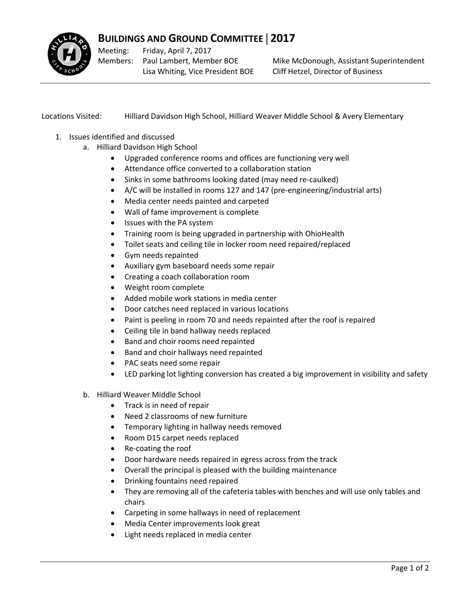

## **BUILDINGS AND GROUND COMMITTEE** | **2017**

Meeting: Members: Paul Lambert, Member BOE Friday, April 7, 2017 Lisa Whiting, Vice President BOE

Mike McDonough, Assistant Superintendent Cliff Hetzel, Director of Business

Locations Visited: Hilliard Davidson High School, Hilliard Weaver Middle School & Avery Elementary

- 1. Issues identified and discussed
	- a. Hilliard Davidson High School
		- Upgraded conference rooms and offices are functioning very well
		- Attendance office converted to a collaboration station
		- Sinks in some bathrooms looking dated (may need re-caulked)
		- A/C will be installed in rooms 127 and 147 (pre‐engineering/industrial arts)
		- Media center needs painted and carpeted
		- Wall of fame improvement is complete
		- Issues with the PA system
		- Training room is being upgraded in partnership with OhioHealth
		- Toilet seats and ceiling tile in locker room need repaired/replaced
		- Gym needs repainted
		- Auxiliary gym baseboard needs some repair
		- Creating a coach collaboration room
		- Weight room complete
		- Added mobile work stations in media center
		- Door catches need replaced in various locations
		- Paint is peeling in room 70 and needs repainted after the roof is repaired
		- Ceiling tile in band hallway needs replaced
		- Band and choir rooms need repainted
		- Band and choir hallways need repainted
		- PAC seats need some repair
		- LED parking lot lighting conversion has created a big improvement in visibility and safety
	- b. Hilliard Weaver Middle School
		- Track is in need of repair
		- Need 2 classrooms of new furniture
		- Temporary lighting in hallway needs removed
		- Room D15 carpet needs replaced
		- Re-coating the roof
		- Door hardware needs repaired in egress across from the track
		- Overall the principal is pleased with the building maintenance
		- Drinking fountains need repaired
		- They are removing all of the cafeteria tables with benches and will use only tables and chairs
		- Carpeting in some hallways in need of replacement
		- Media Center improvements look great
		- Light needs replaced in media center